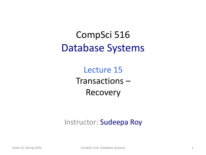CompSci 516 Database Systems

> Lecture 15 Transactions – Recovery

#### Instructor: Sudeepa Roy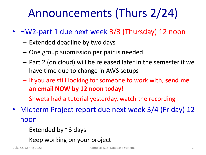# Announcements (Thurs 2/24)

- HW2-part 1 due next week 3/3 (Thursday) 12 noon
	- Extended deadline by two days
	- One group submission per pair is needed
	- Part 2 (on cloud) will be released later in the semester if we have time due to change in AWS setups
	- If you are still looking for someone to work with, **send me an email NOW by 12 noon today!**
	- Shweta had a tutorial yesterday, watch the recording
- Midterm Project report due next week 3/4 (Friday) 12 noon
	- $-$  Extended by  $\approx$ 3 days
	- Keep working on your project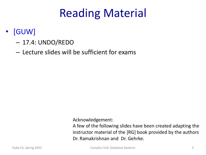#### Reading Material

- [GUW]
	- 17.4: UNDO/REDO
	- Lecture slides will be sufficient for exams

Acknowledgement:

A few of the following slides have been created adapting the instructor material of the [RG] book provided by the authors Dr. Ramakrishnan and Dr. Gehrke.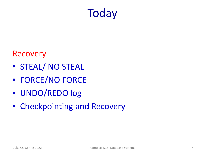

Recovery

- STEAL/ NO STEAL
- FORCE/NO FORCE
- UNDO/REDO log
- Checkpointing and Recovery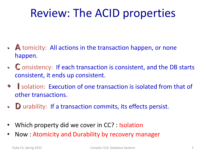#### Review: The ACID properties

- A tomicity: All actions in the transaction happen, or none happen.
- C onsistency: If each transaction is consistent, and the DB starts consistent, it ends up consistent.
- I solation: Execution of one transaction is isolated from that of other transactions.
- **D** urability: If a transaction commits, its effects persist.
- Which property did we cover in CC? : Isolation
- Now : Atomicity and Durability by recovery manager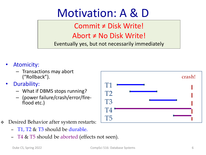#### Motivation: A & D

#### Commit ≠ Disk Write! Abort ≠ No Disk Write!

Eventually yes, but not necessarily immediately

- Atomicity:
	- Transactions may abort ("Rollback").
- Durability:
	- What if DBMS stops running?
	- (power failure/crash/error/fire- flood etc.)
- Desired Behavior after system restarts:
	- T1, T2 & T3 should be durable.
	- T4 & T5 should be aborted (effects not seen).

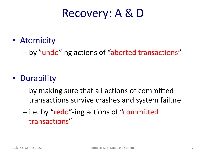#### Recovery: A & D

• Atomicity

– by "undo"ing actions of "aborted transactions"

#### • Durability

- by making sure that all actions of committed transactions survive crashes and system failure
- i.e. by "redo"-ing actions of "committed transactions"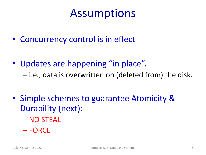#### Assumptions

- Concurrency control is in effect
- Updates are happening "in place". – i.e., data is overwritten on (deleted from) the disk.
- Simple schemes to guarantee Atomicity & Durability (next):
	- NO STEAL
	- FORCE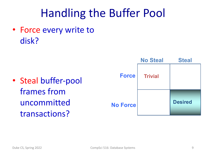#### Handling the Buffer Pool

• Force every write to disk?

• Steal buffer-pool frames from uncommitted transactions?

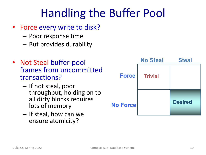#### Handling the Buffer Pool

- Force every write to disk?
	- Poor response time
	- But provides durability
- Not Steal buffer-pool frames from uncommitted transactions?
	- If not steal, poor throughput, holding on to all dirty blocks requires lots of memory
	- If steal, how can we ensure atomicity?

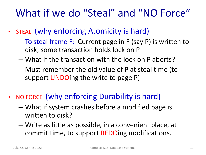#### What if we do "Steal" and "NO Force"

- STEAL (why enforcing Atomicity is hard)
	- To steal frame F: Current page in F (say P) is written to disk; some transaction holds lock on P
	- What if the transaction with the lock on P aborts?
	- Must remember the old value of P at steal time (to support UNDOing the write to page P)
- NO FORCE (why enforcing Durability is hard)
	- What if system crashes before a modified page is written to disk?
	- Write as little as possible, in a convenient place, at commit time, to support REDOing modifications.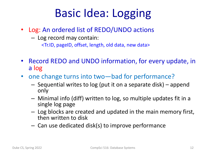# Basic Idea: Logging

- Log: An ordered list of REDO/UNDO actions
	- Log record may contain:

<Tr.ID, pageID, offset, length, old data, new data>

- Record REDO and UNDO information, for every update, in a log
- one change turns into two—bad for performance?
	- Sequential writes to log (put it on a separate disk) append only
	- Minimal info (diff) written to log, so multiple updates fit in a single log page
	- Log blocks are created and updated in the main memory first, then written to disk
	- Can use dedicated disk(s) to improve performance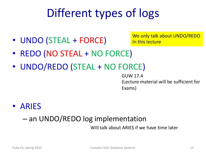### Different types of logs

• UNDO (STEAL + FORCE)

We only talk about UNDO/REDO In this lecture

- REDO (NO STEAL + NO FORCE)
- UNDO/REDO (STEAL + NO FORCE)

GUW 17.4 (Lecture material will be sufficient for Exams)

• ARIES

#### – an UNDO/REDO log implementation

Will talk about ARIES if we have time later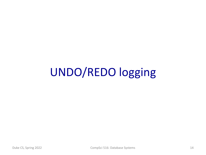# UNDO/REDO logging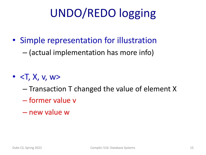# UNDO/REDO logging

• Simple representation for illustration – (actual implementation has more info)

- $\bullet$   $\lt$ T, X, v, w>
	- Transaction T changed the value of element X
	- former value v
	- new value w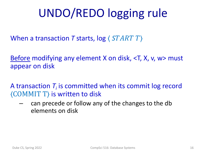# UNDO/REDO logging rule

When a transaction *T* starts,  $log (STARTT)$ 

Before modifying any element X on disk, <T, X, v, w> must appear on disk

A transaction  $T_i$  is committed when its commit log record 〈COMMIT T〉 is written to disk

– can precede or follow any of the changes to the db elements on disk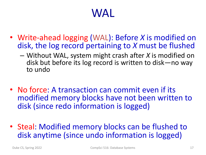#### WAL

- Write-ahead logging (WAL): Before *X* is modified on disk, the log record pertaining to *X* must be flushed
	- Without WAL, system might crash after *X* is modified on disk but before its log record is written to disk—no way to undo
- No force: A transaction can commit even if its modified memory blocks have not been written to disk (since redo information is logged)
- Steal: Modified memory blocks can be flushed to disk anytime (since undo information is logged)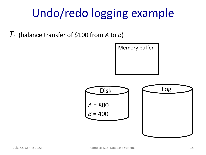*T*<sup>1</sup> (balance transfer of \$100 from *<sup>A</sup>* to *B*)



| Disk      | Log       |
|-----------|-----------|
| $A = 800$ | $B = 400$ |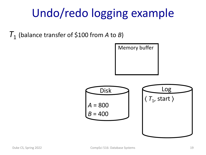*T*<sup>1</sup> (balance transfer of \$100 from *<sup>A</sup>* to *B*)

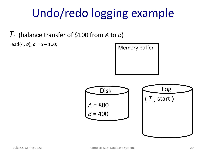*T*<sup>1</sup> (balance transfer of \$100 from *<sup>A</sup>* to *B*) read(*A*, *a*);  $a = a - 100$ ;

Memory buffer

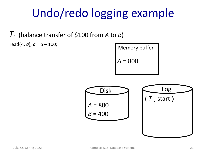*T*<sup>1</sup> (balance transfer of \$100 from *<sup>A</sup>* to *B*) read(*A*, *a*);  $a = a - 100$ ;

Memory buffer *A* = 800

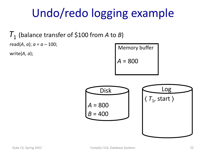*T*<sup>1</sup> (balance transfer of \$100 from *<sup>A</sup>* to *B*) read(*A*, *a*);  $a = a - 100$ ;

write(*A*, *a*);

Memory buffer  $= 800$ 

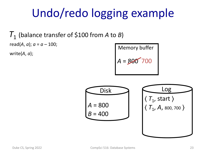*T*<sup>1</sup> (balance transfer of \$100 from *<sup>A</sup>* to *B*) read(*A*, *a*);  $a = a - 100$ ;

write(*A*, *a*);

Memory buffer  

$$
A = 800 700
$$

| Disk      | Log                                       |
|-----------|-------------------------------------------|
| $A = 800$ | $\langle T_1, \text{start} \rangle$       |
| $B = 400$ | $\langle T_1, A, \text{soo, 700} \rangle$ |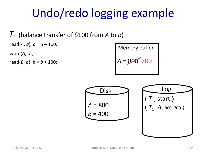*T*<sup>1</sup> (balance transfer of \$100 from *<sup>A</sup>* to *B*) read(*A*, *a*);  $a = a - 100$ ;

write(*A*, *a*);

Memory buffer  $A = 800$  700

| Disk      | Log                                              |
|-----------|--------------------------------------------------|
| $A = 800$ | $\langle T_1, \text{start} \rangle$              |
| $B = 400$ | $\langle T_1, A, \text{so0}, \text{700} \rangle$ |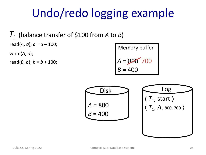

Memory buffer  $B = 400$ 

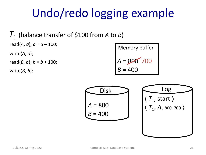#### *T*<sup>1</sup> (balance transfer of \$100 from *<sup>A</sup>* to *B*) read(*A*, *a*);  $a = a - 100$ ; write(*A*, *a*); read(*B*, *b*);  $b = b + 100$ ; write $(B, b)$ ;

Memory buffer  

$$
A = 800 700
$$

$$
B = 400
$$

| Disk      | Log                                              |
|-----------|--------------------------------------------------|
| $A = 800$ | $\langle T_1, \text{start} \rangle$              |
| $B = 400$ | $\langle T_1, A, \text{so0}, \text{700} \rangle$ |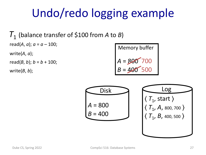

| Disk                                             | Log                                              |
|--------------------------------------------------|--------------------------------------------------|
| $A = 800$                                        | $\langle T_1, \text{start} \rangle$              |
| $B = 400$                                        | $\langle T_1, A, \text{so0}, \text{700} \rangle$ |
| $\langle T_1, B, \text{400}, \text{500} \rangle$ |                                                  |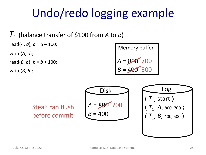

Steal: can flush before commit

$$
A = 800 700
$$
  
B = 400

 $\langle T_1, \text{start} \rangle$  $\langle T_1, A,$  800, 700  $\rangle$  $\langle T_1, B,$  400, 500  $\rangle$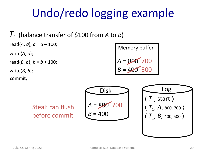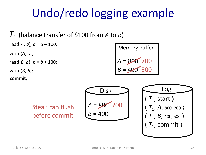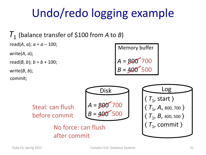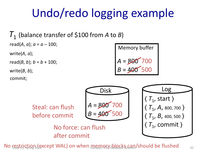

No restriction (except WAL) on when memory blocks can/should be flushed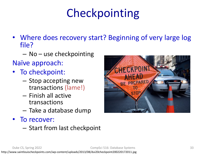# Checkpointing

- Where does recovery start? Beginning of very large log file?
	- No use checkpointing
- Naïve approach:
- To checkpoint:
	- Stop accepting new transactions (lame!)
	- Finish all active transactions
	- Take a database dump
- To recover:
	- Start from last checkpoint

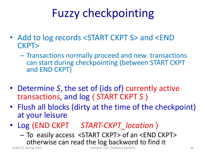# Fuzzy checkpointing

- Add to log records <START CKPT S> and <END CKPT>
	- Transactions normally proceed and new transactions can start during checkpointing (between START CKPT and END CKPT)
- Determine *S*, the set of (ids of) currently active transactions, and log 〈 START CKPT *S* 〉
- Flush all blocks (dirty at the time of the checkpoint) at your leisure
- Log 〈END CKPT *START-CKPT\_location* 〉
	- To easily access <START CKPT> of an <END CKPT> otherwise can read the log backword to find it

Duke CS, Spring 2022 **CompSci 516: Database Systems** 34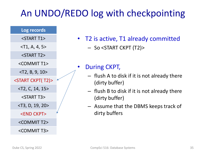#### An UNDO/REDO log with checkpointing

#### **Log records**

<START T1>

 $\langle$ T1, A, 4, 5>

<START T2>

<COMMIT T1>

<T2, B, 9, 10>

#### <START CKPT( T2)>

<T2, C, 14, 15>

<START T3>

<T3, D, 19, 20>

<END CKPT>

<COMMIT T2>

#### <COMMIT T3>

- T2 is active, T1 already committed – So <START CKPT (T2)>
	-

#### • During CKPT,

- flush A to disk if it is not already there (dirty buffer)
- flush B to disk if it is not already there (dirty buffer)
- Assume that the DBMS keeps track of dirty buffers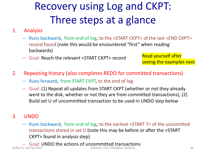#### Recovery using Log and CKPT: Three steps at a glance

#### 1. Analysis

- Runs backward, from end of log, to the <START CKPT> of the last <END CKPT> record found (note this would be encountered "first" when reading backwards)
- Goal: Reach the relevant <START CKPT> record

Read yourself after seeing the examples next

- 2. Repeating history (also completes REDO for committed transactions)
	- Runs forward, from START CKPT, to the end of log
	- Goal: (1) Repeat all updates from START CKPT (whether or not they already went to the disk, whether or not they are from committed transactions), (2) Build set U of uncommitted transaction to be used in UNDO step below

#### 3. UNDO

– Runs backward, from end of log, to the earliest <START T> of the uncomitted transactions stored in set U (note this may be before or after the <START CKPT> found in analysis step)

– Goal: UNDO the actions of uncommitted transactions<br>
CompSci 516: Database Systems<br>
CompSci 516: Database Systems CompSci 516: Database Systems 36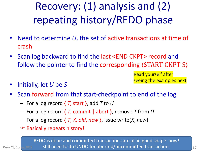#### Recovery: (1) analysis and (2) repeating history/REDO phase

- Need to determine *U*, the set of active transactions at time of crash
- Scan log backward to find the last <END CKPT> record and follow the pointer to find the corresponding 〈START CKPT S〉

Read yourself after seeing the examples next

- Initially, let *U* be *S*
- Scan forward from that start-checkpoint to end of the log
	- For a log record 〈 *T*, start 〉, add *T* to *U*
	- For a log record 〈 *T*, commit | abort 〉, remove *T* from *U*
	- For a log record 〈 *T*, *X*, *old*, *new* 〉, issue write(*X*, *new*)
	- **F** Basically repeats history!

REDO is done and committed transactions are all in good shape now! Still need to do UNDO for aborted/uncommitted transactions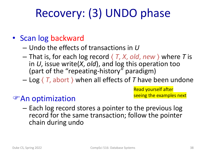# Recovery: (3) UNDO phase

#### • Scan log backward

#### – Undo the effects of transactions in *U*

- That is, for each log record 〈 *T*, *X*, *old*, *new* 〉 where *T* is in *U*, issue write(*X*, *old*), and log this operation too (part of the "repeating-history" paradigm)
- Log 〈 *T*, abort 〉 when all effects of *T* have been undone

Read yourself after seeing the examples next

#### *FAn optimization*

– Each log record stores a pointer to the previous log record for the same transaction; follow the pointer chain during undo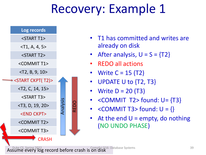# Recovery: Example 1

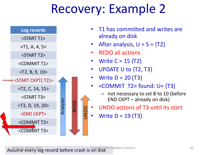# Recovery: Example 2

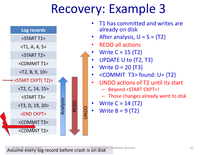# Recovery: Example 3



- T1 has committed and writes are already on disk
- After analysis,  $U = S = \{T2\}$
- REDO all actions
	- **Write C = 15 (T2)**
- UPDATE U to {T2, T3}
- **Write D = 20 (T3)**
- $\leq$  COMMIT T3> found: U=  $\{T2\}$
- UNDO actions of T2 until its start
	- Beyond <START CKPT>!
	- Those changes already went to disk
- **Write C = 14 (T2)**
- Write  $B = 9$  (T2)